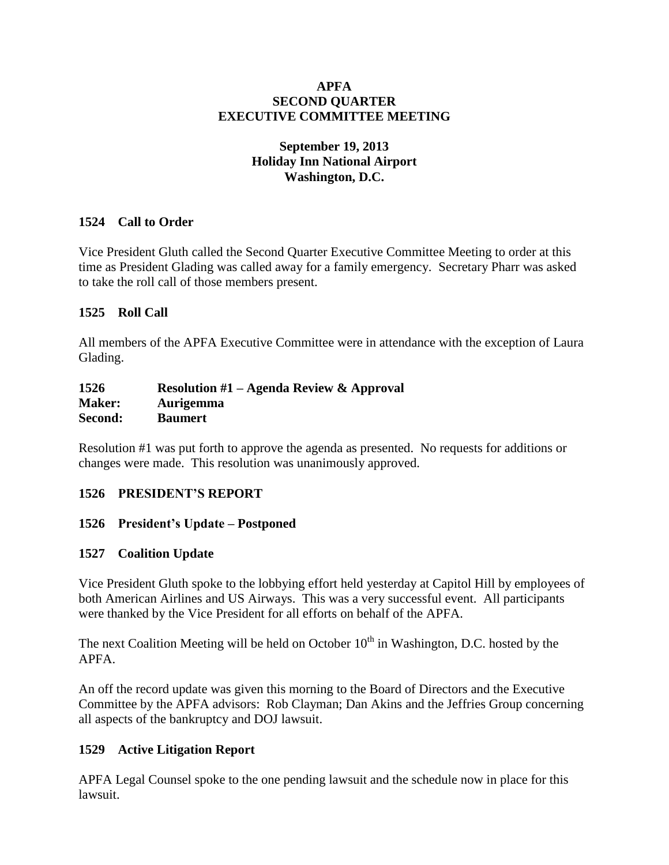#### **APFA SECOND QUARTER EXECUTIVE COMMITTEE MEETING**

#### **September 19, 2013 Holiday Inn National Airport Washington, D.C.**

## **1524 Call to Order**

Vice President Gluth called the Second Quarter Executive Committee Meeting to order at this time as President Glading was called away for a family emergency. Secretary Pharr was asked to take the roll call of those members present.

#### **1525 Roll Call**

All members of the APFA Executive Committee were in attendance with the exception of Laura Glading.

| 1526          | <b>Resolution #1 – Agenda Review &amp; Approval</b> |
|---------------|-----------------------------------------------------|
| <b>Maker:</b> | <b>Aurigemma</b>                                    |
| Second:       | <b>Baumert</b>                                      |

Resolution #1 was put forth to approve the agenda as presented. No requests for additions or changes were made. This resolution was unanimously approved.

## **1526 PRESIDENT'S REPORT**

#### **1526 President's Update – Postponed**

#### **1527 Coalition Update**

Vice President Gluth spoke to the lobbying effort held yesterday at Capitol Hill by employees of both American Airlines and US Airways. This was a very successful event. All participants were thanked by the Vice President for all efforts on behalf of the APFA.

The next Coalition Meeting will be held on October  $10<sup>th</sup>$  in Washington, D.C. hosted by the APFA.

An off the record update was given this morning to the Board of Directors and the Executive Committee by the APFA advisors: Rob Clayman; Dan Akins and the Jeffries Group concerning all aspects of the bankruptcy and DOJ lawsuit.

## **1529 Active Litigation Report**

APFA Legal Counsel spoke to the one pending lawsuit and the schedule now in place for this lawsuit.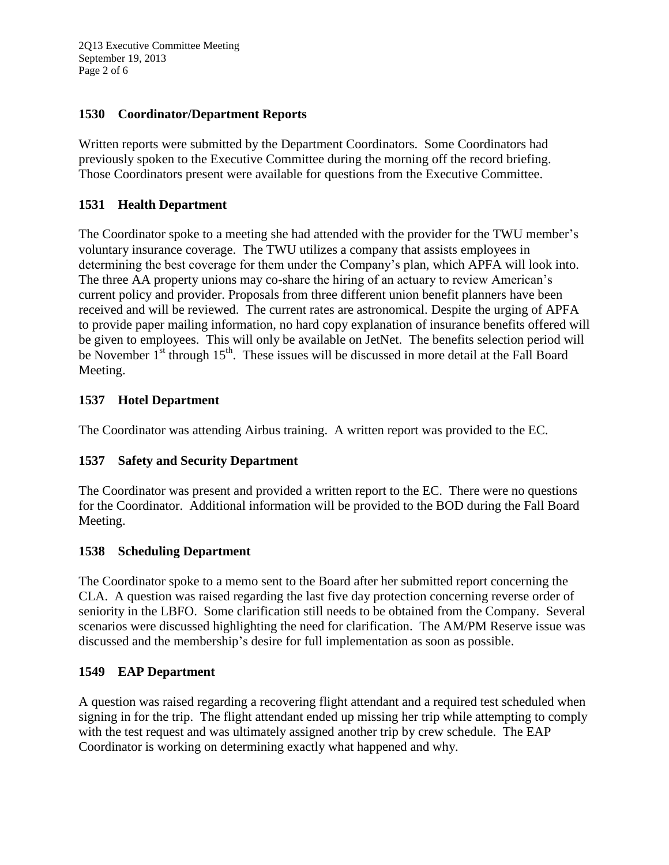2Q13 Executive Committee Meeting September 19, 2013 Page 2 of 6

## **1530 Coordinator/Department Reports**

Written reports were submitted by the Department Coordinators. Some Coordinators had previously spoken to the Executive Committee during the morning off the record briefing. Those Coordinators present were available for questions from the Executive Committee.

## **1531 Health Department**

The Coordinator spoke to a meeting she had attended with the provider for the TWU member's voluntary insurance coverage. The TWU utilizes a company that assists employees in determining the best coverage for them under the Company's plan, which APFA will look into. The three AA property unions may co-share the hiring of an actuary to review American's current policy and provider. Proposals from three different union benefit planners have been received and will be reviewed. The current rates are astronomical. Despite the urging of APFA to provide paper mailing information, no hard copy explanation of insurance benefits offered will be given to employees. This will only be available on JetNet. The benefits selection period will be November 1<sup>st</sup> through 15<sup>th</sup>. These issues will be discussed in more detail at the Fall Board Meeting.

## **1537 Hotel Department**

The Coordinator was attending Airbus training. A written report was provided to the EC.

## **1537 Safety and Security Department**

The Coordinator was present and provided a written report to the EC. There were no questions for the Coordinator. Additional information will be provided to the BOD during the Fall Board Meeting.

## **1538 Scheduling Department**

The Coordinator spoke to a memo sent to the Board after her submitted report concerning the CLA. A question was raised regarding the last five day protection concerning reverse order of seniority in the LBFO. Some clarification still needs to be obtained from the Company. Several scenarios were discussed highlighting the need for clarification. The AM/PM Reserve issue was discussed and the membership's desire for full implementation as soon as possible.

## **1549 EAP Department**

A question was raised regarding a recovering flight attendant and a required test scheduled when signing in for the trip. The flight attendant ended up missing her trip while attempting to comply with the test request and was ultimately assigned another trip by crew schedule. The EAP Coordinator is working on determining exactly what happened and why.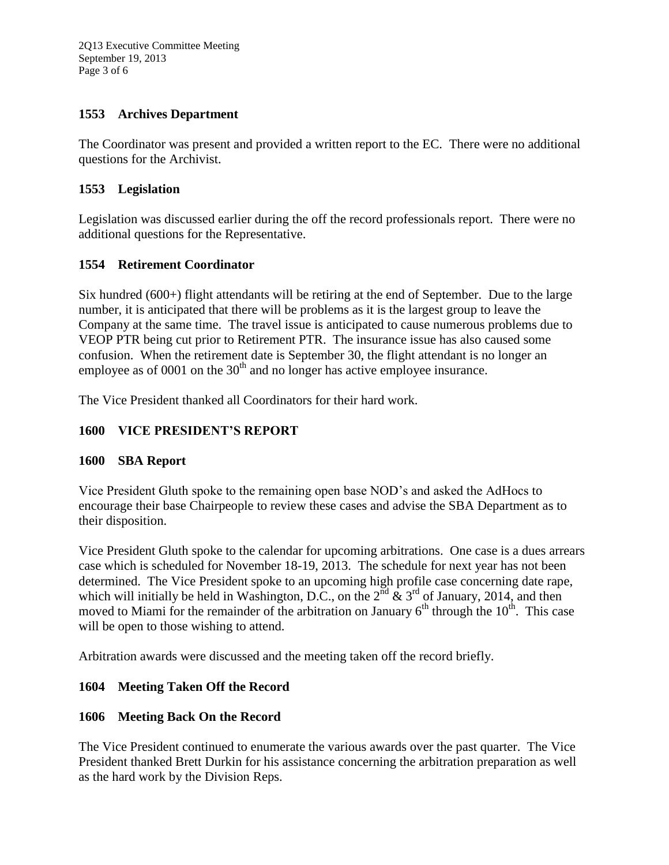## **1553 Archives Department**

The Coordinator was present and provided a written report to the EC. There were no additional questions for the Archivist.

## **1553 Legislation**

Legislation was discussed earlier during the off the record professionals report. There were no additional questions for the Representative.

# **1554 Retirement Coordinator**

Six hundred (600+) flight attendants will be retiring at the end of September. Due to the large number, it is anticipated that there will be problems as it is the largest group to leave the Company at the same time. The travel issue is anticipated to cause numerous problems due to VEOP PTR being cut prior to Retirement PTR. The insurance issue has also caused some confusion. When the retirement date is September 30, the flight attendant is no longer an employee as of 0001 on the  $30<sup>th</sup>$  and no longer has active employee insurance.

The Vice President thanked all Coordinators for their hard work.

## **1600 VICE PRESIDENT'S REPORT**

## **1600 SBA Report**

Vice President Gluth spoke to the remaining open base NOD's and asked the AdHocs to encourage their base Chairpeople to review these cases and advise the SBA Department as to their disposition.

Vice President Gluth spoke to the calendar for upcoming arbitrations. One case is a dues arrears case which is scheduled for November 18-19, 2013. The schedule for next year has not been determined. The Vice President spoke to an upcoming high profile case concerning date rape, which will initially be held in Washington, D.C., on the  $2^{\text{nd}}$  &  $3^{\text{rd}}$  of January, 2014, and then moved to Miami for the remainder of the arbitration on January  $6<sup>th</sup>$  through the  $10<sup>th</sup>$ . This case will be open to those wishing to attend.

Arbitration awards were discussed and the meeting taken off the record briefly.

# **1604 Meeting Taken Off the Record**

## **1606 Meeting Back On the Record**

The Vice President continued to enumerate the various awards over the past quarter. The Vice President thanked Brett Durkin for his assistance concerning the arbitration preparation as well as the hard work by the Division Reps.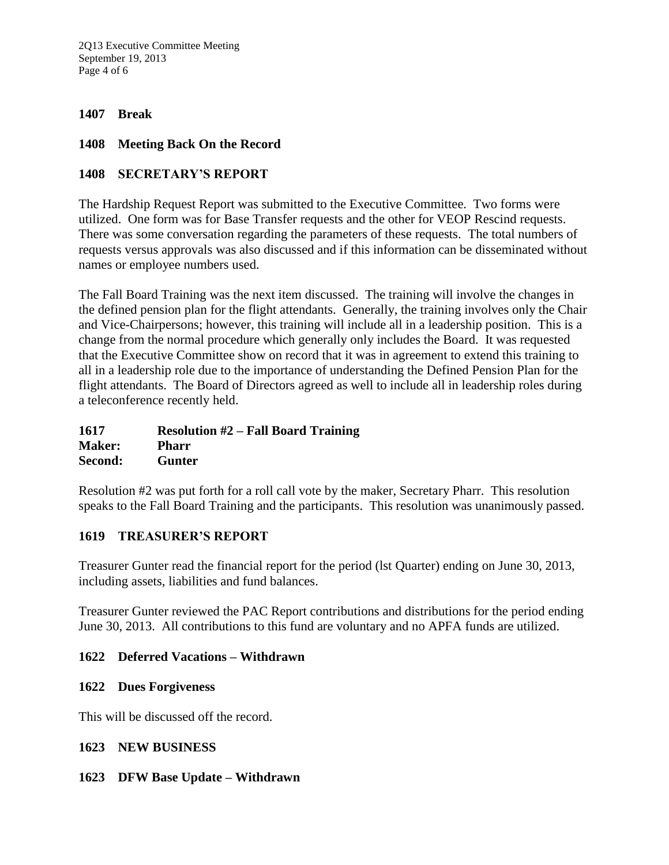2Q13 Executive Committee Meeting September 19, 2013 Page 4 of 6

#### **1407 Break**

#### **1408 Meeting Back On the Record**

#### **1408 SECRETARY'S REPORT**

The Hardship Request Report was submitted to the Executive Committee. Two forms were utilized. One form was for Base Transfer requests and the other for VEOP Rescind requests. There was some conversation regarding the parameters of these requests. The total numbers of requests versus approvals was also discussed and if this information can be disseminated without names or employee numbers used.

The Fall Board Training was the next item discussed. The training will involve the changes in the defined pension plan for the flight attendants. Generally, the training involves only the Chair and Vice-Chairpersons; however, this training will include all in a leadership position. This is a change from the normal procedure which generally only includes the Board. It was requested that the Executive Committee show on record that it was in agreement to extend this training to all in a leadership role due to the importance of understanding the Defined Pension Plan for the flight attendants. The Board of Directors agreed as well to include all in leadership roles during a teleconference recently held.

**1617 Resolution #2 – Fall Board Training Maker: Pharr Second: Gunter**

Resolution #2 was put forth for a roll call vote by the maker, Secretary Pharr. This resolution speaks to the Fall Board Training and the participants. This resolution was unanimously passed.

#### **1619 TREASURER'S REPORT**

Treasurer Gunter read the financial report for the period (lst Quarter) ending on June 30, 2013, including assets, liabilities and fund balances.

Treasurer Gunter reviewed the PAC Report contributions and distributions for the period ending June 30, 2013. All contributions to this fund are voluntary and no APFA funds are utilized.

#### **1622 Deferred Vacations – Withdrawn**

#### **1622 Dues Forgiveness**

This will be discussed off the record.

#### **1623 NEW BUSINESS**

#### **1623 DFW Base Update – Withdrawn**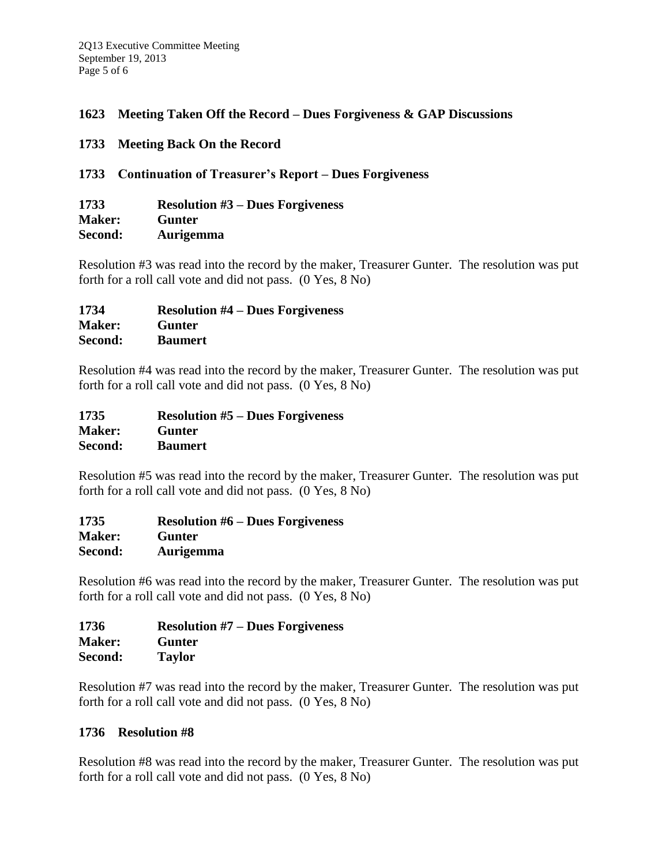## **1623 Meeting Taken Off the Record – Dues Forgiveness & GAP Discussions**

**1733 Meeting Back On the Record**

#### **1733 Continuation of Treasurer's Report – Dues Forgiveness**

| 1733          | <b>Resolution #3 – Dues Forgiveness</b> |
|---------------|-----------------------------------------|
| <b>Maker:</b> | Gunter                                  |
| Second:       | <b>Aurigemma</b>                        |

Resolution #3 was read into the record by the maker, Treasurer Gunter. The resolution was put forth for a roll call vote and did not pass. (0 Yes, 8 No)

| 1734          | <b>Resolution #4 – Dues Forgiveness</b> |
|---------------|-----------------------------------------|
| <b>Maker:</b> | Gunter                                  |
| Second:       | <b>Baumert</b>                          |

Resolution #4 was read into the record by the maker, Treasurer Gunter. The resolution was put forth for a roll call vote and did not pass. (0 Yes, 8 No)

| 1735          | <b>Resolution #5 – Dues Forgiveness</b> |
|---------------|-----------------------------------------|
| <b>Maker:</b> | Gunter                                  |
| Second:       | <b>Baumert</b>                          |

Resolution #5 was read into the record by the maker, Treasurer Gunter. The resolution was put forth for a roll call vote and did not pass. (0 Yes, 8 No)

| 1735          | <b>Resolution #6 – Dues Forgiveness</b> |
|---------------|-----------------------------------------|
| <b>Maker:</b> | Gunter                                  |
| Second:       | <b>Aurigemma</b>                        |

Resolution #6 was read into the record by the maker, Treasurer Gunter. The resolution was put forth for a roll call vote and did not pass. (0 Yes, 8 No)

| 1736          | <b>Resolution #7 – Dues Forgiveness</b> |
|---------------|-----------------------------------------|
| <b>Maker:</b> | Gunter                                  |
| Second:       | <b>Taylor</b>                           |

Resolution #7 was read into the record by the maker, Treasurer Gunter. The resolution was put forth for a roll call vote and did not pass. (0 Yes, 8 No)

## **1736 Resolution #8**

Resolution #8 was read into the record by the maker, Treasurer Gunter. The resolution was put forth for a roll call vote and did not pass. (0 Yes, 8 No)